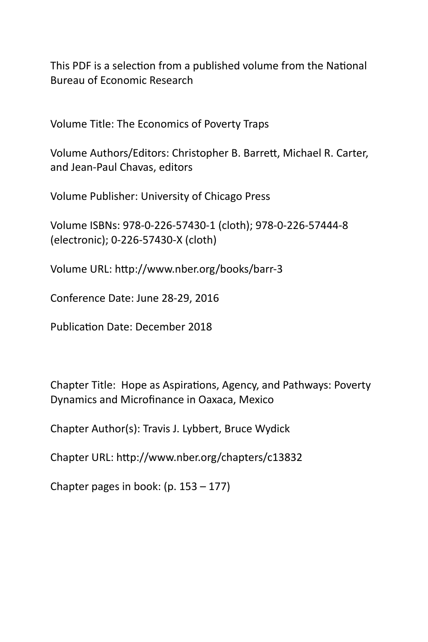This PDF is a selection from a published volume from the National Bureau of Economic Research

Volume Title: The Economics of Poverty Traps

Volume Authors/Editors: Christopher B. Barrett, Michael R. Carter, and Jean‐Paul Chavas, editors

Volume Publisher: University of Chicago Press

Volume ISBNs: 978‐0‐226‐57430‐1 (cloth); 978‐0‐226‐57444‐8 (electronic); 0‐226‐57430‐X (cloth)

Volume URL: http://www.nber.org/books/barr-3

Conference Date: June 28‐29, 2016

Publication Date: December 2018

Chapter Title: Hope as Aspirations, Agency, and Pathways: Poverty Dynamics and Microfinance in Oaxaca, Mexico

Chapter Author(s): Travis J. Lybbert, Bruce Wydick

Chapter URL: hƩp://www.nber.org/chapters/c13832

Chapter pages in book: (p. 153 – 177)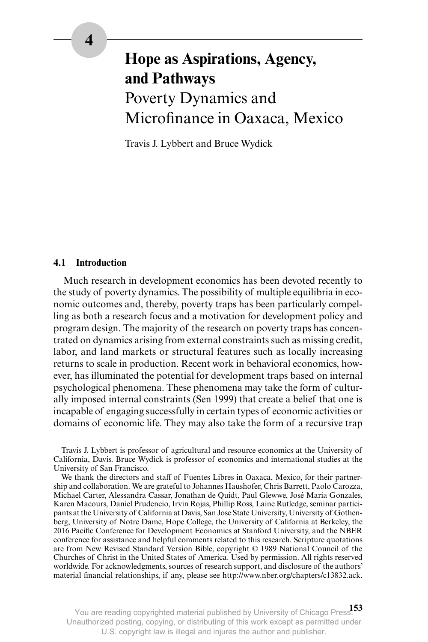# **Hope as Aspirations, Agency, and Pathways** Poverty Dynamics and Microfinance in Oaxaca, Mexico

Travis J. Lybbert and Bruce Wydick

## **4.1 Introduction**

Much research in development economics has been devoted recently to the study of poverty dynamics. The possibility of multiple equilibria in economic outcomes and, thereby, poverty traps has been particularly compelling as both a research focus and a motivation for development policy and program design. The majority of the research on poverty traps has concentrated on dynamics arising from external constraints such as missing credit, labor, and land markets or structural features such as locally increasing returns to scale in production. Recent work in behavioral economics, however, has illuminated the potential for development traps based on internal psychological phenomena. These phenomena may take the form of culturally imposed internal constraints (Sen 1999) that create a belief that one is incapable of engaging successfully in certain types of economic activities or domains of economic life. They may also take the form of a recursive trap

Travis J. Lybbert is professor of agricultural and resource economics at the University of California, Davis. Bruce Wydick is professor of economics and international studies at the University of San Francisco.

We thank the directors and staff of Fuentes Libres in Oaxaca, Mexico, for their partnership and collaboration. We are grateful to Johannes Haushofer, Chris Barrett, Paolo Carozza, Michael Carter, Alessandra Cassar, Jonathan de Quidt, Paul Glewwe, José Maria Gonzales, Karen Macours, Daniel Prudencio, Irvin Rojas, Phillip Ross, Laine Rutledge, seminar participants at the University of California at Davis, San Jose State University, University of Gothenberg, University of Notre Dame, Hope College, the University of California at Berkeley, the 2016 Pacific Conference for Development Economics at Stanford University, and the NBER conference for assistance and helpful comments related to this research. Scripture quotations are from New Revised Standard Version Bible, copyright © 1989 National Council of the Churches of Christ in the United States of America. Used by permission. All rights reserved worldwide. For acknowledgments, sources of research support, and disclosure of the authors' material financial relationships, if any, please see http://www.nber.org/chapters/c13832.ack.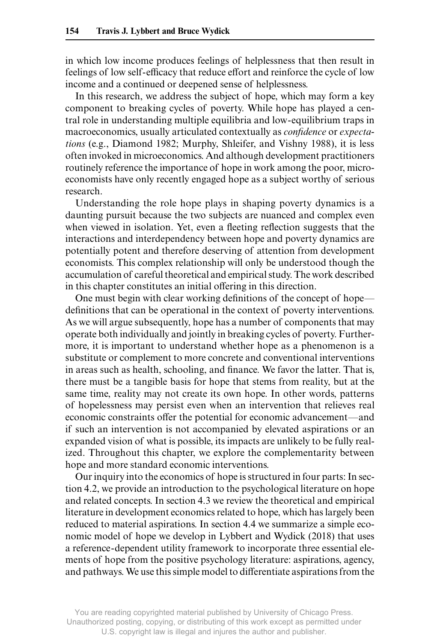in which low income produces feelings of helplessness that then result in feelings of low self- efficacy that reduce effort and reinforce the cycle of low income and a continued or deepened sense of helplessness.

In this research, we address the subject of hope, which may form a key component to breaking cycles of poverty. While hope has played a central role in understanding multiple equilibria and low- equilibrium traps in macroeconomics, usually articulated contextually as *confidence* or *expectations* (e.g., Diamond 1982; Murphy, Shleifer, and Vishny 1988), it is less often invoked in microeconomics. And although development practitioners routinely reference the importance of hope in work among the poor, microeconomists have only recently engaged hope as a subject worthy of serious research.

Understanding the role hope plays in shaping poverty dynamics is a daunting pursuit because the two subjects are nuanced and complex even when viewed in isolation. Yet, even a fleeting reflection suggests that the interactions and interdependency between hope and poverty dynamics are potentially potent and therefore deserving of attention from development economists. This complex relationship will only be understood though the accumulation of careful theoretical and empirical study. The work described in this chapter constitutes an initial offering in this direction.

One must begin with clear working definitions of the concept of hope definitions that can be operational in the context of poverty interventions. As we will argue subsequently, hope has a number of components that may operate both individually and jointly in breaking cycles of poverty. Furthermore, it is important to understand whether hope as a phenomenon is a substitute or complement to more concrete and conventional interventions in areas such as health, schooling, and finance. We favor the latter. That is, there must be a tangible basis for hope that stems from reality, but at the same time, reality may not create its own hope. In other words, patterns of hopelessness may persist even when an intervention that relieves real economic constraints offer the potential for economic advancement—and if such an intervention is not accompanied by elevated aspirations or an expanded vision of what is possible, its impacts are unlikely to be fully realized. Throughout this chapter, we explore the complementarity between hope and more standard economic interventions.

Our inquiry into the economics of hope is structured in four parts: In section 4.2, we provide an introduction to the psychological literature on hope and related concepts. In section 4.3 we review the theoretical and empirical literature in development economics related to hope, which has largely been reduced to material aspirations. In section 4.4 we summarize a simple economic model of hope we develop in Lybbert and Wydick (2018) that uses a reference- dependent utility framework to incorporate three essential elements of hope from the positive psychology literature: aspirations, agency, and pathways. We use this simple model to differentiate aspirations from the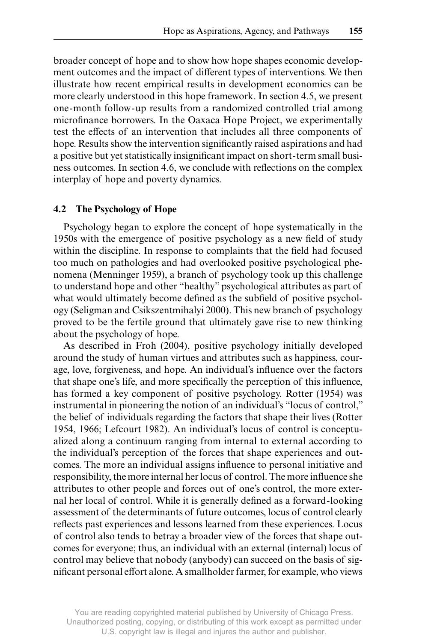broader concept of hope and to show how hope shapes economic development outcomes and the impact of different types of interventions. We then illustrate how recent empirical results in development economics can be more clearly understood in this hope framework. In section 4.5, we present one- month follow- up results from a randomized controlled trial among microfinance borrowers. In the Oaxaca Hope Project, we experimentally test the effects of an intervention that includes all three components of hope. Results show the intervention significantly raised aspirations and had a positive but yet statistically insignificant impact on short- term small business outcomes. In section 4.6, we conclude with reflections on the complex interplay of hope and poverty dynamics.

## **4.2 The Psychology of Hope**

Psychology began to explore the concept of hope systematically in the 1950s with the emergence of positive psychology as a new field of study within the discipline. In response to complaints that the field had focused too much on pathologies and had overlooked positive psychological phenomena (Menninger 1959), a branch of psychology took up this challenge to understand hope and other "healthy" psychological attributes as part of what would ultimately become defined as the subfield of positive psychology (Seligman and Csikszentmihalyi 2000). This new branch of psychology proved to be the fertile ground that ultimately gave rise to new thinking about the psychology of hope.

As described in Froh (2004), positive psychology initially developed around the study of human virtues and attributes such as happiness, courage, love, forgiveness, and hope. An individual's influence over the factors that shape one's life, and more specifically the perception of this influence, has formed a key component of positive psychology. Rotter (1954) was instrumental in pioneering the notion of an individual's "locus of control," the belief of individuals regarding the factors that shape their lives (Rotter 1954, 1966; Lefcourt 1982). An individual's locus of control is conceptualized along a continuum ranging from internal to external according to the individual's perception of the forces that shape experiences and outcomes. The more an individual assigns influence to personal initiative and responsibility, the more internal her locus of control. The more influence she attributes to other people and forces out of one's control, the more external her local of control. While it is generally defined as a forward- looking assessment of the determinants of future outcomes, locus of control clearly reflects past experiences and lessons learned from these experiences. Locus of control also tends to betray a broader view of the forces that shape outcomes for everyone; thus, an individual with an external (internal) locus of control may believe that nobody (anybody) can succeed on the basis of significant personal effort alone. A smallholder farmer, for example, who views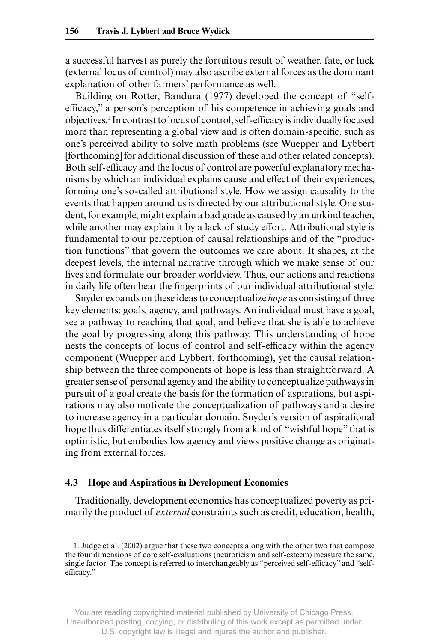a successful harvest as purely the fortuitous result of weather, fate, or luck (external locus of control) may also ascribe external forces as the dominant explanation of other farmers' performance as well.

Building on Rotter, Bandura (1977) developed the concept of "selfefficacy," a person's perception of his competence in achieving goals and objectives.1 In contrast to locus of control, self- efficacy is individually focused more than representing a global view and is often domain- specific, such as one's perceived ability to solve math problems (see Wuepper and Lybbert [forthcoming] for additional discussion of these and other related concepts). Both self- efficacy and the locus of control are powerful explanatory mechanisms by which an individual explains cause and effect of their experiences, forming one's so- called attributional style. How we assign causality to the events that happen around us is directed by our attributional style. One student, for example, might explain a bad grade as caused by an unkind teacher, while another may explain it by a lack of study effort. Attributional style is fundamental to our perception of causal relationships and of the "production functions" that govern the outcomes we care about. It shapes, at the deepest levels, the internal narrative through which we make sense of our lives and formulate our broader worldview. Thus, our actions and reactions in daily life often bear the fingerprints of our individual attributional style.

Snyder expands on these ideas to conceptualize *hope* as consisting of three key elements: goals, agency, and pathways. An individual must have a goal, see a pathway to reaching that goal, and believe that she is able to achieve the goal by progressing along this pathway. This understanding of hope nests the concepts of locus of control and self- efficacy within the agency component (Wuepper and Lybbert, forthcoming), yet the causal relationship between the three components of hope is less than straightforward. A greater sense of personal agency and the ability to conceptualize pathways in pursuit of a goal create the basis for the formation of aspirations, but aspirations may also motivate the conceptualization of pathways and a desire to increase agency in a particular domain. Snyder's version of aspirational hope thus differentiates itself strongly from a kind of "wishful hope" that is optimistic, but embodies low agency and views positive change as originating from external forces.

### **4.3 Hope and Aspirations in Development Economics**

Traditionally, development economics has conceptualized poverty as primarily the product of *external* constraints such as credit, education, health,

1. Judge et al. (2002) argue that these two concepts along with the other two that compose the four dimensions of core self- evaluations (neuroticism and self- esteem) measure the same, single factor. The concept is referred to interchangeably as "perceived self- efficacy" and "selfefficacy."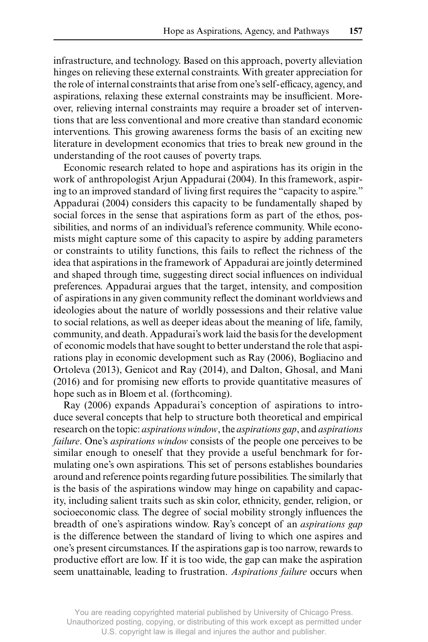infrastructure, and technology. Based on this approach, poverty alleviation hinges on relieving these external constraints. With greater appreciation for the role of internal constraints that arise from one's self- efficacy, agency, and aspirations, relaxing these external constraints may be insufficient. Moreover, relieving internal constraints may require a broader set of interventions that are less conventional and more creative than standard economic interventions. This growing awareness forms the basis of an exciting new literature in development economics that tries to break new ground in the understanding of the root causes of poverty traps.

Economic research related to hope and aspirations has its origin in the work of anthropologist Arjun Appadurai (2004). In this framework, aspiring to an improved standard of living first requires the "capacity to aspire." Appadurai (2004) considers this capacity to be fundamentally shaped by social forces in the sense that aspirations form as part of the ethos, possibilities, and norms of an individual's reference community. While economists might capture some of this capacity to aspire by adding parameters or constraints to utility functions, this fails to reflect the richness of the idea that aspirations in the framework of Appadurai are jointly determined and shaped through time, suggesting direct social influences on individual preferences. Appadurai argues that the target, intensity, and composition of aspirations in any given community reflect the dominant worldviews and ideologies about the nature of worldly possessions and their relative value to social relations, as well as deeper ideas about the meaning of life, family, community, and death. Appadurai's work laid the basis for the development of economic models that have sought to better understand the role that aspirations play in economic development such as Ray (2006), Bogliacino and Ortoleva (2013), Genicot and Ray (2014), and Dalton, Ghosal, and Mani (2016) and for promising new efforts to provide quantitative measures of hope such as in Bloem et al. (forthcoming).

Ray (2006) expands Appadurai's conception of aspirations to introduce several concepts that help to structure both theoretical and empirical research on the topic: *aspirations window*, the *aspirations gap*, and *aspirations failure*. One's *aspirations window* consists of the people one perceives to be similar enough to oneself that they provide a useful benchmark for formulating one's own aspirations. This set of persons establishes boundaries around and reference points regarding future possibilities. The similarly that is the basis of the aspirations window may hinge on capability and capacity, including salient traits such as skin color, ethnicity, gender, religion, or socioeconomic class. The degree of social mobility strongly influences the breadth of one's aspirations window. Ray's concept of an *aspirations gap* is the difference between the standard of living to which one aspires and one's present circumstances. If the aspirations gap is too narrow, rewards to productive effort are low. If it is too wide, the gap can make the aspiration seem unattainable, leading to frustration. *Aspirations failure* occurs when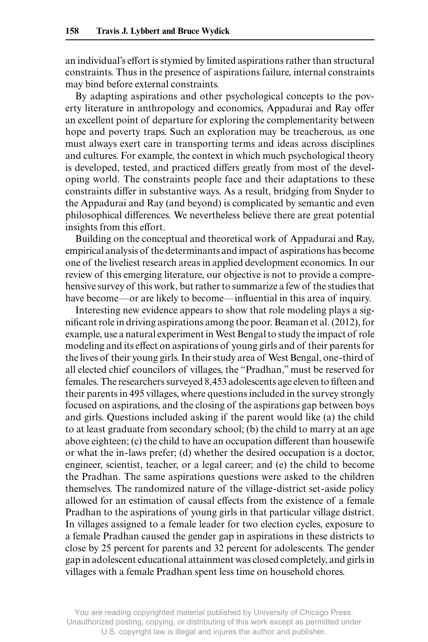an individual's effort is stymied by limited aspirations rather than structural constraints. Thus in the presence of aspirations failure, internal constraints may bind before external constraints.

By adapting aspirations and other psychological concepts to the poverty literature in anthropology and economics, Appadurai and Ray offer an excellent point of departure for exploring the complementarity between hope and poverty traps. Such an exploration may be treacherous, as one must always exert care in transporting terms and ideas across disciplines and cultures. For example, the context in which much psychological theory is developed, tested, and practiced differs greatly from most of the developing world. The constraints people face and their adaptations to these constraints differ in substantive ways. As a result, bridging from Snyder to the Appadurai and Ray (and beyond) is complicated by semantic and even philosophical differences. We nevertheless believe there are great potential insights from this effort.

Building on the conceptual and theoretical work of Appadurai and Ray, empirical analysis of the determinants and impact of aspirations has become one of the liveliest research areas in applied development economics. In our review of this emerging literature, our objective is not to provide a comprehensive survey of this work, but rather to summarize a few of the studies that have become—or are likely to become—influential in this area of inquiry.

Interesting new evidence appears to show that role modeling plays a significant role in driving aspirations among the poor. Beaman et al. (2012), for example, use a natural experiment in West Bengal to study the impact of role modeling and its effect on aspirations of young girls and of their parents for the lives of their young girls. In their study area of West Bengal, one- third of all elected chief councilors of villages, the "Pradhan," must be reserved for females. The researchers surveyed 8,453 adolescents age eleven to fifteen and their parents in 495 villages, where questions included in the survey strongly focused on aspirations, and the closing of the aspirations gap between boys and girls. Questions included asking if the parent would like (a) the child to at least graduate from secondary school; (b) the child to marry at an age above eighteen; (c) the child to have an occupation different than housewife or what the in- laws prefer; (d) whether the desired occupation is a doctor, engineer, scientist, teacher, or a legal career; and (e) the child to become the Pradhan. The same aspirations questions were asked to the children themselves. The randomized nature of the village- district set- aside policy allowed for an estimation of causal effects from the existence of a female Pradhan to the aspirations of young girls in that particular village district. In villages assigned to a female leader for two election cycles, exposure to a female Pradhan caused the gender gap in aspirations in these districts to close by 25 percent for parents and 32 percent for adolescents. The gender gap in adolescent educational attainment was closed completely, and girls in villages with a female Pradhan spent less time on household chores.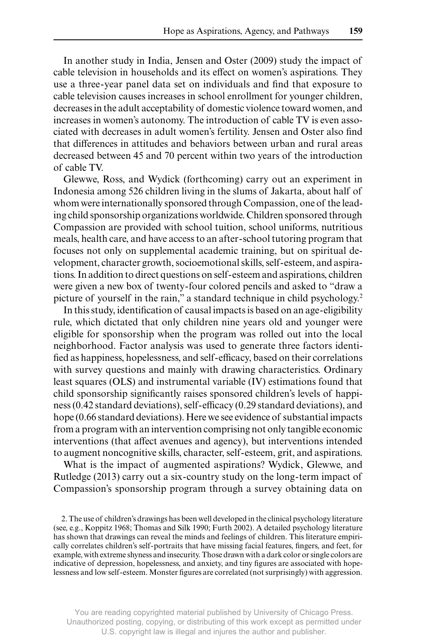In another study in India, Jensen and Oster (2009) study the impact of cable television in households and its effect on women's aspirations. They use a three- year panel data set on individuals and find that exposure to cable television causes increases in school enrollment for younger children, decreases in the adult acceptability of domestic violence toward women, and increases in women's autonomy. The introduction of cable TV is even associated with decreases in adult women's fertility. Jensen and Oster also find that differences in attitudes and behaviors between urban and rural areas decreased between 45 and 70 percent within two years of the introduction of cable TV.

Glewwe, Ross, and Wydick (forthcoming) carry out an experiment in Indonesia among 526 children living in the slums of Jakarta, about half of whom were internationally sponsored through Compassion, one of the leading child sponsorship organizations worldwide. Children sponsored through Compassion are provided with school tuition, school uniforms, nutritious meals, health care, and have access to an after- school tutoring program that focuses not only on supplemental academic training, but on spiritual development, character growth, socioemotional skills, self- esteem, and aspirations. In addition to direct questions on self- esteem and aspirations, children were given a new box of twenty- four colored pencils and asked to "draw a picture of yourself in the rain," a standard technique in child psychology.2

In this study, identification of causal impacts is based on an age- eligibility rule, which dictated that only children nine years old and younger were eligible for sponsorship when the program was rolled out into the local neighborhood. Factor analysis was used to generate three factors identified as happiness, hopelessness, and self- efficacy, based on their correlations with survey questions and mainly with drawing characteristics. Ordinary least squares (OLS) and instrumental variable (IV) estimations found that child sponsorship significantly raises sponsored children's levels of happiness (0.42 standard deviations), self- efficacy (0.29 standard deviations), and hope (0.66 standard deviations). Here we see evidence of substantial impacts from a program with an intervention comprising not only tangible economic interventions (that affect avenues and agency), but interventions intended to augment noncognitive skills, character, self- esteem, grit, and aspirations.

What is the impact of augmented aspirations? Wydick, Glewwe, and Rutledge (2013) carry out a six- country study on the long- term impact of Compassion's sponsorship program through a survey obtaining data on

<sup>2.</sup> The use of children's drawings has been well developed in the clinical psychology literature (see, e.g., Koppitz 1968; Thomas and Silk 1990; Furth 2002). A detailed psychology literature has shown that drawings can reveal the minds and feelings of children. This literature empirically correlates children's self- portraits that have missing facial features, fingers, and feet, for example, with extreme shyness and insecurity. Those drawn with a dark color or single colors are indicative of depression, hopelessness, and anxiety, and tiny figures are associated with hopelessness and low self- esteem. Monster figures are correlated (not surprisingly) with aggression.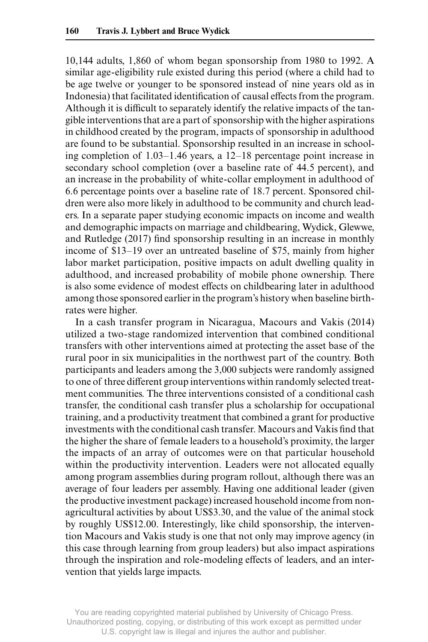10,144 adults, 1,860 of whom began sponsorship from 1980 to 1992. A similar age- eligibility rule existed during this period (where a child had to be age twelve or younger to be sponsored instead of nine years old as in Indonesia) that facilitated identification of causal effects from the program. Although it is difficult to separately identify the relative impacts of the tangible interventions that are a part of sponsorship with the higher aspirations in childhood created by the program, impacts of sponsorship in adulthood are found to be substantial. Sponsorship resulted in an increase in schooling completion of 1.03–1.46 years, a 12–18 percentage point increase in secondary school completion (over a baseline rate of 44.5 percent), and an increase in the probability of white- collar employment in adulthood of 6.6 percentage points over a baseline rate of 18.7 percent. Sponsored children were also more likely in adulthood to be community and church leaders. In a separate paper studying economic impacts on income and wealth and demographic impacts on marriage and childbearing, Wydick, Glewwe, and Rutledge (2017) find sponsorship resulting in an increase in monthly income of \$13–19 over an untreated baseline of \$75, mainly from higher labor market participation, positive impacts on adult dwelling quality in adulthood, and increased probability of mobile phone ownership. There is also some evidence of modest effects on childbearing later in adulthood among those sponsored earlier in the program's history when baseline birthrates were higher.

In a cash transfer program in Nicaragua, Macours and Vakis (2014) utilized a two- stage randomized intervention that combined conditional transfers with other interventions aimed at protecting the asset base of the rural poor in six municipalities in the northwest part of the country. Both participants and leaders among the 3,000 subjects were randomly assigned to one of three different group interventions within randomly selected treatment communities. The three interventions consisted of a conditional cash transfer, the conditional cash transfer plus a scholarship for occupational training, and a productivity treatment that combined a grant for productive investments with the conditional cash transfer. Macours and Vakis find that the higher the share of female leaders to a household's proximity, the larger the impacts of an array of outcomes were on that particular household within the productivity intervention. Leaders were not allocated equally among program assemblies during program rollout, although there was an average of four leaders per assembly. Having one additional leader (given the productive investment package) increased household income from nonagricultural activities by about US\$3.30, and the value of the animal stock by roughly US\$12.00. Interestingly, like child sponsorship, the intervention Macours and Vakis study is one that not only may improve agency (in this case through learning from group leaders) but also impact aspirations through the inspiration and role- modeling effects of leaders, and an intervention that yields large impacts.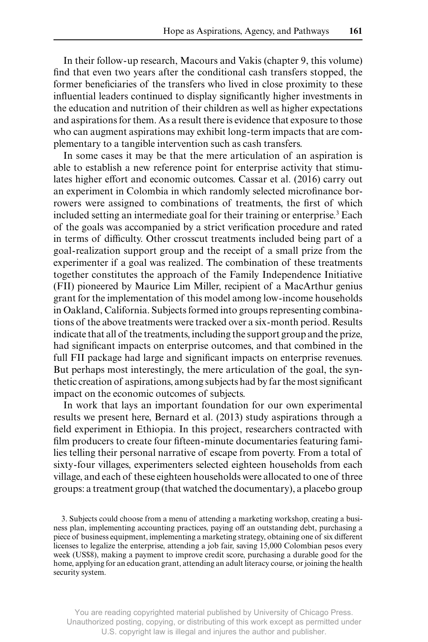In their follow- up research, Macours and Vakis (chapter 9, this volume) find that even two years after the conditional cash transfers stopped, the former beneficiaries of the transfers who lived in close proximity to these influential leaders continued to display significantly higher investments in the education and nutrition of their children as well as higher expectations and aspirations for them. As a result there is evidence that exposure to those who can augment aspirations may exhibit long- term impacts that are complementary to a tangible intervention such as cash transfers.

In some cases it may be that the mere articulation of an aspiration is able to establish a new reference point for enterprise activity that stimulates higher effort and economic outcomes. Cassar et al. (2016) carry out an experiment in Colombia in which randomly selected microfinance borrowers were assigned to combinations of treatments, the first of which included setting an intermediate goal for their training or enterprise.3 Each of the goals was accompanied by a strict verification procedure and rated in terms of difficulty. Other crosscut treatments included being part of a goal- realization support group and the receipt of a small prize from the experimenter if a goal was realized. The combination of these treatments together constitutes the approach of the Family Independence Initiative (FII) pioneered by Maurice Lim Miller, recipient of a MacArthur genius grant for the implementation of this model among low- income households in Oakland, California. Subjects formed into groups representing combinations of the above treatments were tracked over a six- month period. Results indicate that all of the treatments, including the support group and the prize, had significant impacts on enterprise outcomes, and that combined in the full FII package had large and significant impacts on enterprise revenues. But perhaps most interestingly, the mere articulation of the goal, the synthetic creation of aspirations, among subjects had by far the most significant impact on the economic outcomes of subjects.

In work that lays an important foundation for our own experimental results we present here, Bernard et al. (2013) study aspirations through a field experiment in Ethiopia. In this project, researchers contracted with film producers to create four fifteen- minute documentaries featuring families telling their personal narrative of escape from poverty. From a total of sixty- four villages, experimenters selected eighteen households from each village, and each of these eighteen households were allocated to one of three groups: a treatment group (that watched the documentary), a placebo group

<sup>3.</sup> Subjects could choose from a menu of attending a marketing workshop, creating a business plan, implementing accounting practices, paying off an outstanding debt, purchasing a piece of business equipment, implementing a marketing strategy, obtaining one of six different licenses to legalize the enterprise, attending a job fair, saving 15,000 Colombian pesos every week (US\$8), making a payment to improve credit score, purchasing a durable good for the home, applying for an education grant, attending an adult literacy course, or joining the health security system.

You are reading copyrighted material published by University of Chicago Press. Unauthorized posting, copying, or distributing of this work except as permitted under U.S. copyright law is illegal and injures the author and publisher.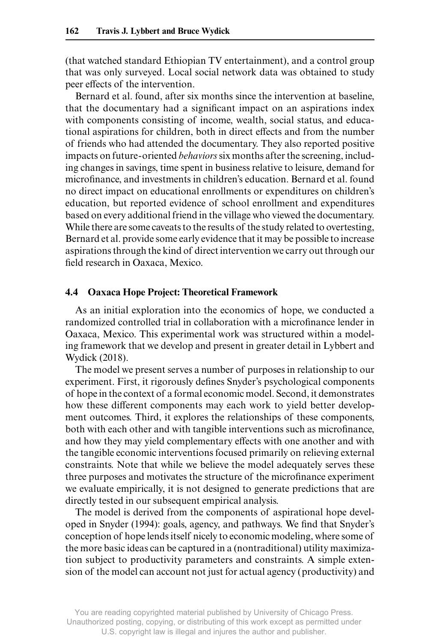(that watched standard Ethiopian TV entertainment), and a control group that was only surveyed. Local social network data was obtained to study peer effects of the intervention.

Bernard et al. found, after six months since the intervention at baseline, that the documentary had a significant impact on an aspirations index with components consisting of income, wealth, social status, and educational aspirations for children, both in direct effects and from the number of friends who had attended the documentary. They also reported positive impacts on future- oriented *behaviors* six months after the screening, including changes in savings, time spent in business relative to leisure, demand for microfinance, and investments in children's education. Bernard et al. found no direct impact on educational enrollments or expenditures on children's education, but reported evidence of school enrollment and expenditures based on every additional friend in the village who viewed the documentary. While there are some caveats to the results of the study related to overtesting, Bernard et al. provide some early evidence that it may be possible to increase aspirations through the kind of direct intervention we carry out through our field research in Oaxaca, Mexico.

### **4.4 Oaxaca Hope Project: Theoretical Framework**

As an initial exploration into the economics of hope, we conducted a randomized controlled trial in collaboration with a microfinance lender in Oaxaca, Mexico. This experimental work was structured within a modeling framework that we develop and present in greater detail in Lybbert and Wydick (2018).

The model we present serves a number of purposes in relationship to our experiment. First, it rigorously defines Snyder's psychological components of hope in the context of a formal economic model. Second, it demonstrates how these different components may each work to yield better development outcomes. Third, it explores the relationships of these components, both with each other and with tangible interventions such as microfinance, and how they may yield complementary effects with one another and with the tangible economic interventions focused primarily on relieving external constraints. Note that while we believe the model adequately serves these three purposes and motivates the structure of the microfinance experiment we evaluate empirically, it is not designed to generate predictions that are directly tested in our subsequent empirical analysis.

The model is derived from the components of aspirational hope developed in Snyder (1994): goals, agency, and pathways. We find that Snyder's conception of hope lends itself nicely to economic modeling, where some of the more basic ideas can be captured in a (nontraditional) utility maximization subject to productivity parameters and constraints. A simple extension of the model can account not just for actual agency (productivity) and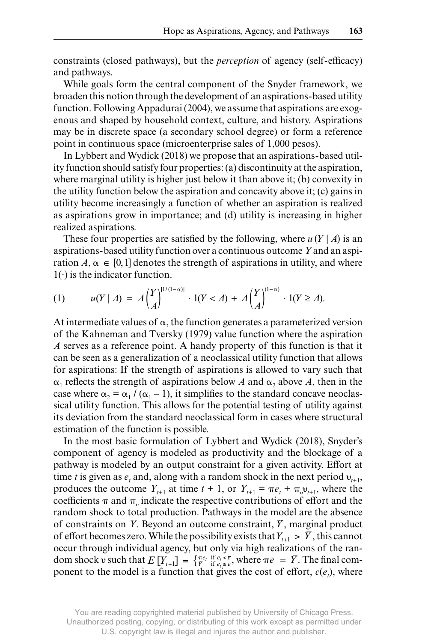constraints (closed pathways), but the *perception* of agency (self- efficacy) and pathways.

While goals form the central component of the Snyder framework, we broaden this notion through the development of an aspirations- based utility function. Following Appadurai (2004), we assume that aspirations are exogenous and shaped by household context, culture, and history. Aspirations may be in discrete space (a secondary school degree) or form a reference point in continuous space (microenterprise sales of 1,000 pesos).

In Lybbert and Wydick (2018) we propose that an aspirations- based utility function should satisfy four properties: (a) discontinuity at the aspiration, where marginal utility is higher just below it than above it; (b) convexity in the utility function below the aspiration and concavity above it; (c) gains in utility become increasingly a function of whether an aspiration is realized as aspirations grow in importance; and (d) utility is increasing in higher realized aspirations.

These four properties are satisfied by the following, where  $u(Y | A)$  is an aspirations- based utility function over a continuous outcome *Y* and an aspiration  $A, \alpha \in [0, 1]$  denotes the strength of aspirations in utility, and where  $1(·)$  is the indicator function.

(1) 
$$
u(Y | A) = A \left(\frac{Y}{A}\right)^{[1/(1-\alpha)]} \cdot 1(Y < A) + A \left(\frac{Y}{A}\right)^{(1-\alpha)} \cdot 1(Y \ge A).
$$

At intermediate values of  $\alpha$ , the function generates a parameterized version of the Kahneman and Tversky (1979) value function where the aspiration *A* serves as a reference point. A handy property of this function is that it can be seen as a generalization of a neoclassical utility function that allows for aspirations: If the strength of aspirations is allowed to vary such that  $\alpha_1$  reflects the strength of aspirations below *A* and  $\alpha_2$  above *A*, then in the case where  $\alpha_2 = \alpha_1 / (\alpha_1 - 1)$ , it simplifies to the standard concave neoclassical utility function. This allows for the potential testing of utility against its deviation from the standard neoclassical form in cases where structural estimation of the function is possible.

In the most basic formulation of Lybbert and Wydick (2018), Snyder's component of agency is modeled as productivity and the blockage of a pathway is modeled by an output constraint for a given activity. Effort at time *t* is given as  $e_t$  and, along with a random shock in the next period  $v_{t+1}$ , produces the outcome  $Y_{t+1}$  at time  $t + 1$ , or  $Y_{t+1} = \pi e_t + \pi v_{t+1}$ , where the coefficients  $\pi$  and  $\pi$ , indicate the respective contributions of effort and the random shock to total production. Pathways in the model are the absence of constraints on *Y*. Beyond an outcome constraint,  $\overline{Y}$ , marginal product of effort becomes zero. While the possibility exists that  $Y_{t+1} > \overline{Y}$ , this cannot occur through individual agency, but only via high realizations of the random shock v such that  $E[Y_{t+1}] = \{ \frac{\pi e_t}{\overline{Y}} \text{ if } e_t \leq \overline{e} \}$  where  $\pi \overline{e} = \overline{Y}$ . The final component to the model is a function that gives the cost of effort,  $c(e_i)$ , where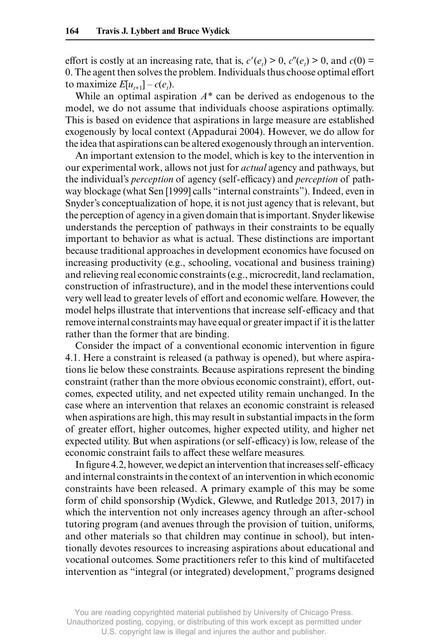effort is costly at an increasing rate, that is,  $c'(e_i) > 0$ ,  $c''(e_i) > 0$ , and  $c(0) = 0$ 0. The agent then solves the problem. Individuals thus choose optimal effort to maximize  $E[u_{t+1}] - c(e_t)$ .

While an optimal aspiration *A\** can be derived as endogenous to the model, we do not assume that individuals choose aspirations optimally. This is based on evidence that aspirations in large measure are established exogenously by local context (Appadurai 2004). However, we do allow for the idea that aspirations can be altered exogenously through an intervention.

An important extension to the model, which is key to the intervention in our experimental work, allows not just for *actual* agency and pathways, but the individual's *perception* of agency (self- efficacy) and *perception* of pathway blockage (what Sen [1999] calls "internal constraints"). Indeed, even in Snyder's conceptualization of hope, it is not just agency that is relevant, but the perception of agency in a given domain that is important. Snyder likewise understands the perception of pathways in their constraints to be equally important to behavior as what is actual. These distinctions are important because traditional approaches in development economics have focused on increasing productivity (e.g., schooling, vocational and business training) and relieving real economic constraints (e.g., microcredit, land reclamation, construction of infrastructure), and in the model these interventions could very well lead to greater levels of effort and economic welfare. However, the model helps illustrate that interventions that increase self- efficacy and that remove internal constraints may have equal or greater impact if it is the latter rather than the former that are binding.

Consider the impact of a conventional economic intervention in figure 4.1. Here a constraint is released (a pathway is opened), but where aspirations lie below these constraints. Because aspirations represent the binding constraint (rather than the more obvious economic constraint), effort, outcomes, expected utility, and net expected utility remain unchanged. In the case where an intervention that relaxes an economic constraint is released when aspirations are high, this may result in substantial impacts in the form of greater effort, higher outcomes, higher expected utility, and higher net expected utility. But when aspirations (or self-efficacy) is low, release of the economic constraint fails to affect these welfare measures.

In figure 4.2, however, we depict an intervention that increases self- efficacy and internal constraints in the context of an intervention in which economic constraints have been released. A primary example of this may be some form of child sponsorship (Wydick, Glewwe, and Rutledge 2013, 2017) in which the intervention not only increases agency through an after-school tutoring program (and avenues through the provision of tuition, uniforms, and other materials so that children may continue in school), but intentionally devotes resources to increasing aspirations about educational and vocational outcomes. Some practitioners refer to this kind of multifaceted intervention as "integral (or integrated) development," programs designed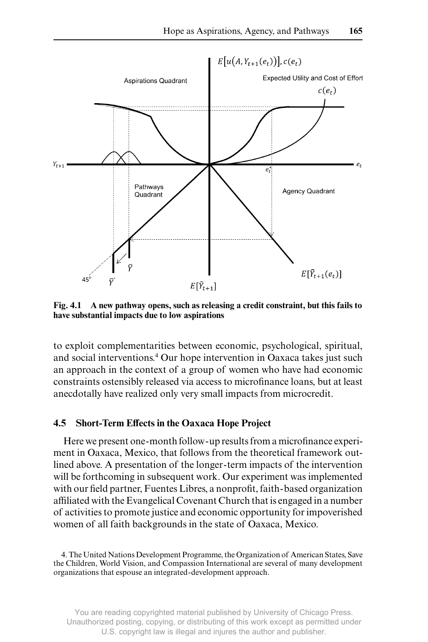

**Fig. 4.1 A new pathway opens, such as releasing a credit constraint, but this fails to have substantial impacts due to low aspirations**

to exploit complementarities between economic, psychological, spiritual, and social interventions.4 Our hope intervention in Oaxaca takes just such an approach in the context of a group of women who have had economic constraints ostensibly released via access to microfinance loans, but at least anecdotally have realized only very small impacts from microcredit.

### **4.5 Short- Term Effects in the Oaxaca Hope Project**

Here we present one- month follow- up results from a microfinance experiment in Oaxaca, Mexico, that follows from the theoretical framework outlined above. A presentation of the longer- term impacts of the intervention will be forthcoming in subsequent work. Our experiment was implemented with our field partner, Fuentes Libres, a nonprofit, faith- based organization affiliated with the Evangelical Covenant Church that is engaged in a number of activities to promote justice and economic opportunity for impoverished women of all faith backgrounds in the state of Oaxaca, Mexico.

<sup>4.</sup> The United Nations Development Programme, the Organization of American States, Save the Children, World Vision, and Compassion International are several of many development organizations that espouse an integrated- development approach.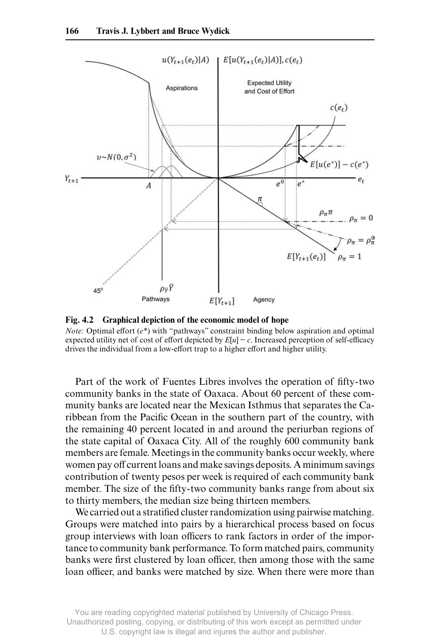

**Fig. 4.2 Graphical depiction of the economic model of hope**

*Note:* Optimal effort (*e\**) with "pathways" constraint binding below aspiration and optimal expected utility net of cost of effort depicted by  $E[u]$  –  $c$ . Increased perception of self-efficacy drives the individual from a low-effort trap to a higher effort and higher utility.

Part of the work of Fuentes Libres involves the operation of fifty-two community banks in the state of Oaxaca. About 60 percent of these community banks are located near the Mexican Isthmus that separates the Caribbean from the Pacific Ocean in the southern part of the country, with the remaining 40 percent located in and around the periurban regions of the state capital of Oaxaca City. All of the roughly 600 community bank members are female. Meetings in the community banks occur weekly, where women pay off current loans and make savings deposits. A minimum savings contribution of twenty pesos per week is required of each community bank member. The size of the fifty-two community banks range from about six to thirty members, the median size being thirteen members.

We carried out a stratified cluster randomization using pairwise matching. Groups were matched into pairs by a hierarchical process based on focus group interviews with loan officers to rank factors in order of the importance to community bank performance. To form matched pairs, community banks were first clustered by loan officer, then among those with the same loan officer, and banks were matched by size. When there were more than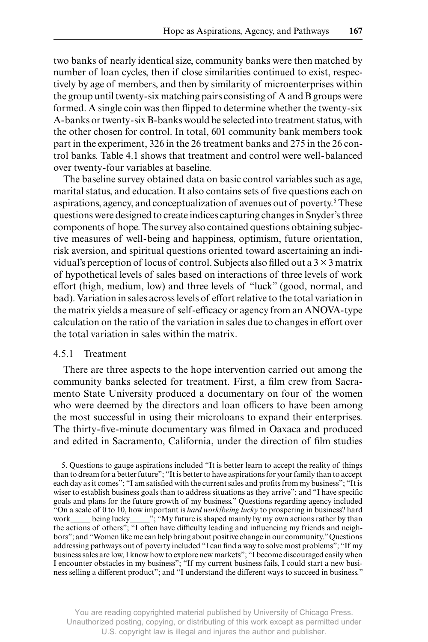two banks of nearly identical size, community banks were then matched by number of loan cycles, then if close similarities continued to exist, respectively by age of members, and then by similarity of microenterprises within the group until twenty- six matching pairs consisting of A and B groups were formed. A single coin was then flipped to determine whether the twenty-six A- banks or twenty- six B- banks would be selected into treatment status, with the other chosen for control. In total, 601 community bank members took part in the experiment, 326 in the 26 treatment banks and 275 in the 26 control banks. Table 4.1 shows that treatment and control were well- balanced over twenty- four variables at baseline.

The baseline survey obtained data on basic control variables such as age, marital status, and education. It also contains sets of five questions each on aspirations, agency, and conceptualization of avenues out of poverty.<sup>5</sup> These questions were designed to create indices capturing changes in Snyder's three components of hope. The survey also contained questions obtaining subjective measures of well- being and happiness, optimism, future orientation, risk aversion, and spiritual questions oriented toward ascertaining an individual's perception of locus of control. Subjects also filled out a 3 × 3 matrix of hypothetical levels of sales based on interactions of three levels of work effort (high, medium, low) and three levels of "luck" (good, normal, and bad). Variation in sales across levels of effort relative to the total variation in the matrix yields a measure of self-efficacy or agency from an ANOVA-type calculation on the ratio of the variation in sales due to changes in effort over the total variation in sales within the matrix.

## 4.5.1 Treatment

There are three aspects to the hope intervention carried out among the community banks selected for treatment. First, a film crew from Sacramento State University produced a documentary on four of the women who were deemed by the directors and loan officers to have been among the most successful in using their microloans to expand their enterprises. The thirty-five-minute documentary was filmed in Oaxaca and produced and edited in Sacramento, California, under the direction of film studies

5. Questions to gauge aspirations included "It is better learn to accept the reality of things than to dream for a better future"; "It is better to have aspirations for your family than to accept each day as it comes"; "I am satisfied with the current sales and profits from my business"; "It is wiser to establish business goals than to address situations as they arrive"; and "I have specific goals and plans for the future growth of my business." Questions regarding agency included "On a scale of 0 to 10, how important is *hard work/being lucky* to prospering in business? hard work being lucky with "My future is shaped mainly by my own actions rather by than being lucky\_\_\_\_\_"; "My future is shaped mainly by my own actions rather by than the actions of others"; "I often have difficulty leading and influencing my friends and neighbors"; and "Women like me can help bring about positive change in our community." Questions addressing pathways out of poverty included "I can find a way to solve most problems"; "If my business sales are low, I know how to explore new markets"; "I become discouraged easily when I encounter obstacles in my business"; "If my current business fails, I could start a new business selling a different product"; and "I understand the different ways to succeed in business."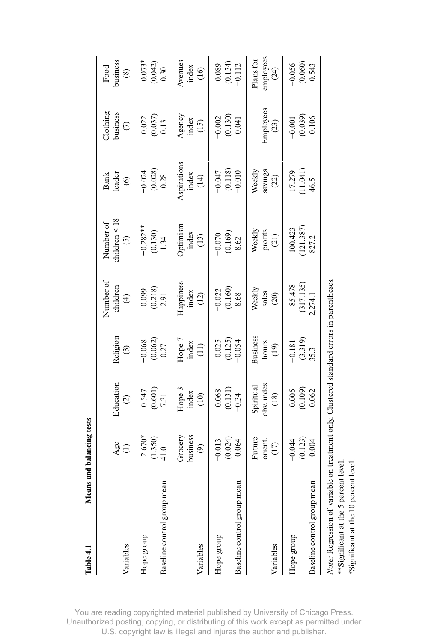| Table 4.1                                                                                                                                                                 |      | Means and balancing tests             |                                                          |                                                           |                                                         |                                         |                                            |                                                        |                                                           |
|---------------------------------------------------------------------------------------------------------------------------------------------------------------------------|------|---------------------------------------|----------------------------------------------------------|-----------------------------------------------------------|---------------------------------------------------------|-----------------------------------------|--------------------------------------------|--------------------------------------------------------|-----------------------------------------------------------|
| Variables                                                                                                                                                                 |      | $\frac{2}{3}$                         | Education<br>$\widehat{c}$                               | Religion<br>$\odot$                                       | Number of<br>children<br>$\widehat{\mathcal{F}}$        | children $<$ 18<br>Number of<br>$\odot$ | leader<br>Bank<br>$\widehat{\mathfrak{S}}$ | $\Pi$ othing<br>business<br>$\epsilon$                 | business<br>Food<br>$\circledast$                         |
| Baseline control group<br>Hope group                                                                                                                                      | mean | $2.670*$<br>(1.350)<br>41.0           | $(0.547)$<br>$(0.601)$<br>7.31                           | $-0.068$<br>(0.062)<br>0.27                               | $\begin{array}{c} 0.099 \\ (0.218) \\ 2.91 \end{array}$ | $-0.282***$<br>(0.130)<br>1.34          | $-0.024$<br>(0.028)<br>0.28                | $\begin{array}{c} 0.022 \\ 0.037) \\ 0.13 \end{array}$ | $0.073*$<br>(0.042)<br>0.30                               |
| Variables                                                                                                                                                                 |      | business<br>Grocery<br>$\circledcirc$ | Hope-3<br>index<br>(10)                                  | Hope-7<br>index<br>$\left(11\right)$                      | Happiness<br>index<br>(12)                              | Optimism<br>index<br>(13)               | Aspirations<br>index<br>(14)               | Agency<br>index<br>(15)                                | Avenues<br>index<br>(16)                                  |
| Baseline control group<br>Hope group                                                                                                                                      | mean | (0.024)<br>$-0.013$<br>0.064          | $\begin{array}{c} 0.068 \\ (0.131) \\ -0.34 \end{array}$ | $\begin{array}{c} 0.025 \\ (0.125) \\ -0.054 \end{array}$ | $-0.022$<br>$(0.160)$<br>$8.68$                         | $-0.070$<br>$(0.169)$<br>$8.62$         | $-0.047$<br>$(0.118)$<br>$-0.010$          | $-0.002$<br>$(0.130)$<br>$0.041$                       | $\begin{array}{c} 0.089 \\ (0.134) \\ -0.112 \end{array}$ |
| Variables                                                                                                                                                                 |      | Future<br>orient.<br>$(17)$           | obv. index<br>Spiritual<br>$^{(18)}$                     | <b>Business</b><br>hours<br>(19)                          | Weekly<br>sales<br>(20)                                 | Weekly<br>profits<br>$(21)$             | Weekly<br>savings<br>(22)                  | Employees<br>(23)                                      | employees<br>Plans for<br>(24)                            |
| Baseline control group<br>Hope group                                                                                                                                      | mean | (0.123)<br>$-0.004$<br>$-0.044$       | (0.005)<br>$-0.062$                                      | $-0.181$<br>(3.319)<br>35.3                               | (317.135)<br>85.478<br>2,274.1                          | (121.387)<br>100.423<br>827.2           | (11.041)<br>17.279<br>46.5                 | $-0.001$<br>$(0.039)$<br>$0.106$                       | $(0.060)$<br>0.543<br>$-0.056$                            |
| Note: Regression of variable on treatment only. Clustered standard errors in parentheses.<br>**Significant at the 5 percent level<br>*Significant at the 10 percent level |      |                                       |                                                          |                                                           |                                                         |                                         |                                            |                                                        |                                                           |

You are reading copyrighted material published by University of Chicago Press. Unauthorized posting, copying, or distributing of this work except as permitted under U.S. copyright law is illegal and injures the author and publisher.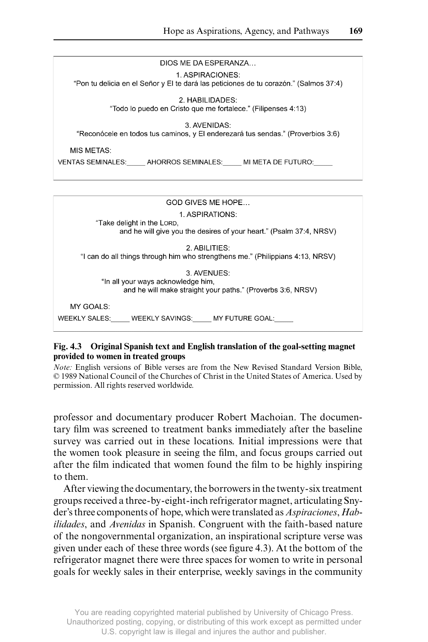

2. ABILITIES: "I can do all things through him who strengthens me." (Philippians 4:13, NRSV)

3. AVENUES: "In all your ways acknowledge him, and he will make straight your paths." (Proverbs 3:6, NRSV)

MY GOALS:

WEEKLY SALES: WEEKLY SAVINGS: MY FUTURE GOAL:

## **Fig. 4.3 Original Spanish text and English translation of the goal- setting magnet provided to women in treated groups**

*Note:* English versions of Bible verses are from the New Revised Standard Version Bible, © 1989 National Council of the Churches of Christ in the United States of America. Used by permission. All rights reserved worldwide.

professor and documentary producer Robert Machoian. The documentary film was screened to treatment banks immediately after the baseline survey was carried out in these locations. Initial impressions were that the women took pleasure in seeing the film, and focus groups carried out after the film indicated that women found the film to be highly inspiring to them.

After viewing the documentary, the borrowers in the twenty- six treatment groups received a three- by- eight- inch refrigerator magnet, articulating Snyder's three components of hope, which were translated as *Aspiraciones*, *Habilidades*, and *Avenidas* in Spanish. Congruent with the faith- based nature of the nongovernmental organization, an inspirational scripture verse was given under each of these three words (see figure 4.3). At the bottom of the refrigerator magnet there were three spaces for women to write in personal goals for weekly sales in their enterprise, weekly savings in the community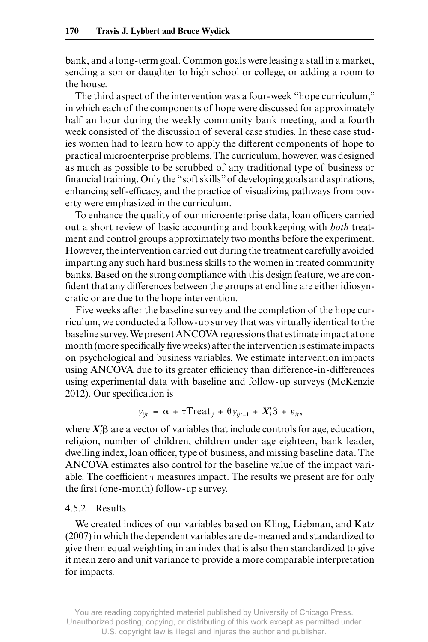bank, and a long- term goal. Common goals were leasing a stall in a market, sending a son or daughter to high school or college, or adding a room to the house.

The third aspect of the intervention was a four- week "hope curriculum," in which each of the components of hope were discussed for approximately half an hour during the weekly community bank meeting, and a fourth week consisted of the discussion of several case studies. In these case studies women had to learn how to apply the different components of hope to practical microenterprise problems. The curriculum, however, was designed as much as possible to be scrubbed of any traditional type of business or financial training. Only the "soft skills" of developing goals and aspirations, enhancing self- efficacy, and the practice of visualizing pathways from poverty were emphasized in the curriculum.

To enhance the quality of our microenterprise data, loan officers carried out a short review of basic accounting and bookkeeping with *both* treatment and control groups approximately two months before the experiment. However, the intervention carried out during the treatment carefully avoided imparting any such hard business skills to the women in treated community banks. Based on the strong compliance with this design feature, we are confident that any differences between the groups at end line are either idiosyncratic or are due to the hope intervention.

Five weeks after the baseline survey and the completion of the hope curriculum, we conducted a follow- up survey that was virtually identical to the baseline survey. We present ANCOVA regressions that estimate impact at one month (more specifically five weeks) after the intervention is estimate impacts on psychological and business variables. We estimate intervention impacts using ANCOVA due to its greater efficiency than difference- in- differences using experimental data with baseline and follow- up surveys (McKenzie 2012). Our specification is

$$
y_{ijt} = \alpha + \tau \text{Treat}_j + \theta y_{ijt-1} + X_i'\beta + \varepsilon_{it},
$$

where  $X'_i\beta$  are a vector of variables that include controls for age, education, religion, number of children, children under age eighteen, bank leader, dwelling index, loan officer, type of business, and missing baseline data. The ANCOVA estimates also control for the baseline value of the impact variable. The coefficient  $\tau$  measures impact. The results we present are for only the first (one- month) follow- up survey.

## 4.5.2 Results

We created indices of our variables based on Kling, Liebman, and Katz (2007) in which the dependent variables are de- meaned and standardized to give them equal weighting in an index that is also then standardized to give it mean zero and unit variance to provide a more comparable interpretation for impacts.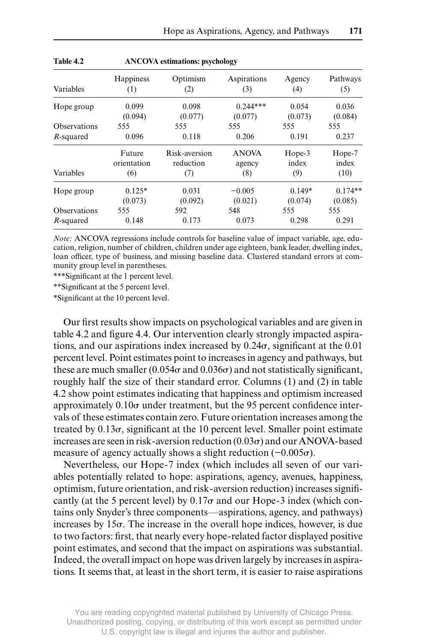|              |                       |                            | $-$                    |                     |                      |
|--------------|-----------------------|----------------------------|------------------------|---------------------|----------------------|
| Variables    | Happiness<br>(1)      | Optimism<br>(2)            | Aspirations<br>(3)     | Agency<br>(4)       | Pathways<br>(5)      |
| Hope group   | 0.099<br>(0.094)      | 0.098<br>(0.077)           | $0.244***$<br>(0.077)  | 0.054<br>(0.073)    | 0.036<br>(0.084)     |
| Observations | 555                   | 555                        | 555                    | 555                 | 555                  |
| R-squared    | 0.096                 | 0.118                      | 0.206                  | 0.191               | 0.237                |
|              | Future<br>orientation | Risk-aversion<br>reduction | <b>ANOVA</b><br>agency | Hope-3<br>index     | Hope-7<br>index      |
| Variables    | (6)                   | (7)                        | (8)                    | (9)                 | (10)                 |
| Hope group   | $0.125*$<br>(0.073)   | 0.031<br>(0.092)           | $-0.005$<br>(0.021)    | $0.149*$<br>(0.074) | $0.174**$<br>(0.085) |
| Observations | 555                   | 592                        | 548                    | 555                 | 555                  |
| R-squared    | 0.148                 | 0.173                      | 0.073                  | 0.298               | 0.291                |

*Note:* ANCOVA regressions include controls for baseline value of impact variable, age, education, religion, number of children, children under age eighteen, bank leader, dwelling index, loan officer, type of business, and missing baseline data. Clustered standard errors at community group level in parentheses.

\*\*\*Significant at the 1 percent level.

**Table 4.2 ANCOVA estimations: psychology**

\*\*Significant at the 5 percent level.

\*Significant at the 10 percent level.

Our first results show impacts on psychological variables and are given in table 4.2 and figure 4.4. Our intervention clearly strongly impacted aspirations, and our aspirations index increased by  $0.24\sigma$ , significant at the  $0.01$ percent level. Point estimates point to increases in agency and pathways, but these are much smaller (0.054 $\sigma$  and 0.036 $\sigma$ ) and not statistically significant, roughly half the size of their standard error. Columns (1) and (2) in table 4.2 show point estimates indicating that happiness and optimism increased approximately  $0.10\sigma$  under treatment, but the 95 percent confidence intervals of these estimates contain zero. Future orientation increases among the treated by  $0.13\sigma$ , significant at the 10 percent level. Smaller point estimate increases are seen in risk-aversion reduction  $(0.03\sigma)$  and our ANOVA-based measure of agency actually shows a slight reduction  $(-0.005\sigma)$ .

Nevertheless, our Hope-7 index (which includes all seven of our variables potentially related to hope: aspirations, agency, avenues, happiness, optimism, future orientation, and risk- aversion reduction) increases significantly (at the 5 percent level) by  $0.17\sigma$  and our Hope-3 index (which contains only Snyder's three components—aspirations, agency, and pathways) increases by  $15\sigma$ . The increase in the overall hope indices, however, is due to two factors: first, that nearly every hope- related factor displayed positive point estimates, and second that the impact on aspirations was substantial. Indeed, the overall impact on hope was driven largely by increases in aspirations. It seems that, at least in the short term, it is easier to raise aspirations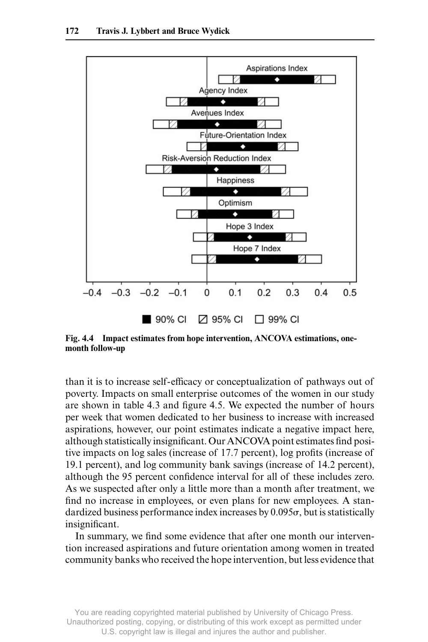

**Fig. 4.4 Impact estimates from hope intervention, ANCOVA estimations, one**month follow-up

than it is to increase self- efficacy or conceptualization of pathways out of poverty. Impacts on small enterprise outcomes of the women in our study are shown in table 4.3 and figure 4.5. We expected the number of hours per week that women dedicated to her business to increase with increased aspirations, however, our point estimates indicate a negative impact here, although statistically insignificant. Our ANCOVA point estimates find positive impacts on log sales (increase of 17.7 percent), log profits (increase of 19.1 percent), and log community bank savings (increase of 14.2 percent), although the 95 percent confidence interval for all of these includes zero. As we suspected after only a little more than a month after treatment, we find no increase in employees, or even plans for new employees. A standardized business performance index increases by  $0.095\sigma$ , but is statistically insignificant.

In summary, we find some evidence that after one month our intervention increased aspirations and future orientation among women in treated community banks who received the hope intervention, but less evidence that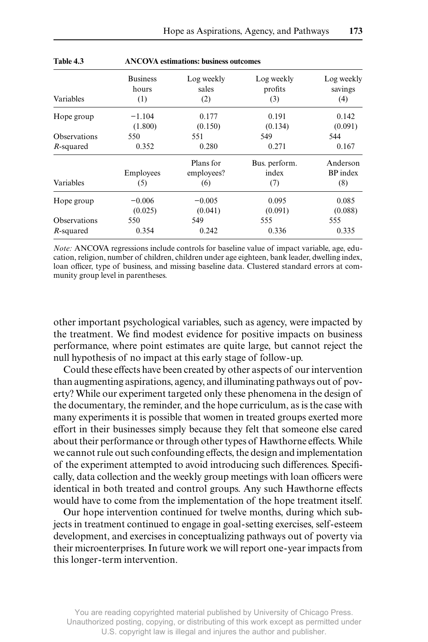| Variables    | <b>Business</b><br>hours<br>(1) | Log weekly<br>sales<br>(2)     | Log weekly<br>profits<br>(3)  | Log weekly<br>savings<br>(4)       |  |  |
|--------------|---------------------------------|--------------------------------|-------------------------------|------------------------------------|--|--|
| Hope group   | $-1.104$<br>(1.800)             | 0.177<br>(0.150)               | 0.191<br>(0.134)              | 0.142<br>(0.091)                   |  |  |
| Observations | 550                             | 551                            | 549                           | 544                                |  |  |
| $R$ -squared | 0.352                           | 0.280                          | 0.271                         | 0.167                              |  |  |
| Variables    | Employees<br>(5)                | Plans for<br>employees?<br>(6) | Bus. perform.<br>index<br>(7) | Anderson<br><b>BP</b> index<br>(8) |  |  |
| Hope group   | $-0.006$<br>(0.025)             | $-0.005$<br>(0.041)            | 0.095<br>(0.091)              | 0.085<br>(0.088)                   |  |  |
| Observations | 550                             | 549                            | 555                           | 555                                |  |  |
| R-squared    | 0.354                           | 0.242                          | 0.336                         | 0.335                              |  |  |

**Table 4.3 ANCOVA estimations: business outcomes**

*Note:* ANCOVA regressions include controls for baseline value of impact variable, age, education, religion, number of children, children under age eighteen, bank leader, dwelling index, loan officer, type of business, and missing baseline data. Clustered standard errors at community group level in parentheses.

other important psychological variables, such as agency, were impacted by the treatment. We find modest evidence for positive impacts on business performance, where point estimates are quite large, but cannot reject the null hypothesis of no impact at this early stage of follow- up.

Could these effects have been created by other aspects of our intervention than augmenting aspirations, agency, and illuminating pathways out of poverty? While our experiment targeted only these phenomena in the design of the documentary, the reminder, and the hope curriculum, as is the case with many experiments it is possible that women in treated groups exerted more effort in their businesses simply because they felt that someone else cared about their performance or through other types of Hawthorne effects. While we cannot rule out such confounding effects, the design and implementation of the experiment attempted to avoid introducing such differences. Specifically, data collection and the weekly group meetings with loan officers were identical in both treated and control groups. Any such Hawthorne effects would have to come from the implementation of the hope treatment itself.

Our hope intervention continued for twelve months, during which subjects in treatment continued to engage in goal- setting exercises, self- esteem development, and exercises in conceptualizing pathways out of poverty via their microenterprises. In future work we will report one- year impacts from this longer- term intervention.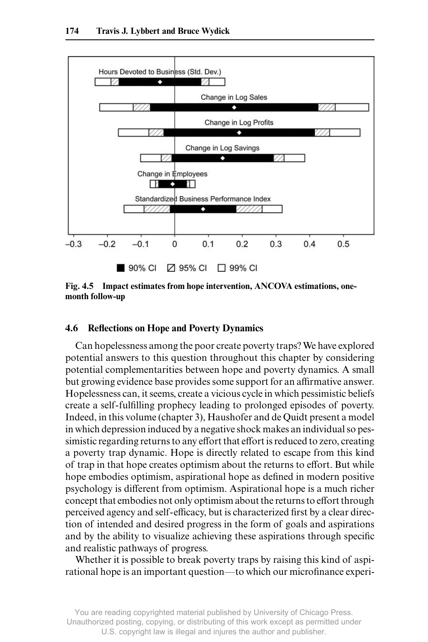

**Fig. 4.5 Impact estimates from hope intervention, ANCOVA estimations, one**month follow-up

### **4.6 Reflections on Hope and Poverty Dynamics**

Can hopelessness among the poor create poverty traps? We have explored potential answers to this question throughout this chapter by considering potential complementarities between hope and poverty dynamics. A small but growing evidence base provides some support for an affirmative answer. Hopelessness can, it seems, create a vicious cycle in which pessimistic beliefs create a self- fulfilling prophecy leading to prolonged episodes of poverty. Indeed, in this volume (chapter 3), Haushofer and de Quidt present a model in which depression induced by a negative shock makes an individual so pessimistic regarding returns to any effort that effort is reduced to zero, creating a poverty trap dynamic. Hope is directly related to escape from this kind of trap in that hope creates optimism about the returns to effort. But while hope embodies optimism, aspirational hope as defined in modern positive psychology is different from optimism. Aspirational hope is a much richer concept that embodies not only optimism about the returns to effort through perceived agency and self- efficacy, but is characterized first by a clear direction of intended and desired progress in the form of goals and aspirations and by the ability to visualize achieving these aspirations through specific and realistic pathways of progress.

Whether it is possible to break poverty traps by raising this kind of aspirational hope is an important question—to which our microfinance experi-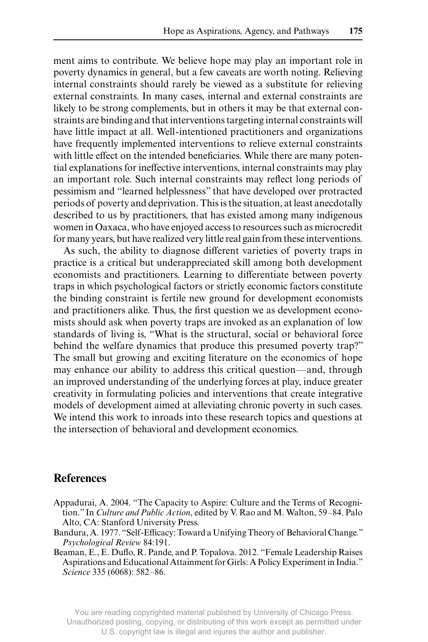ment aims to contribute. We believe hope may play an important role in poverty dynamics in general, but a few caveats are worth noting. Relieving internal constraints should rarely be viewed as a substitute for relieving external constraints. In many cases, internal and external constraints are likely to be strong complements, but in others it may be that external constraints are binding and that interventions targeting internal constraints will have little impact at all. Well-intentioned practitioners and organizations have frequently implemented interventions to relieve external constraints with little effect on the intended beneficiaries. While there are many potential explanations for ineffective interventions, internal constraints may play an important role. Such internal constraints may reflect long periods of pessimism and "learned helplessness" that have developed over protracted periods of poverty and deprivation. This is the situation, at least anecdotally described to us by practitioners, that has existed among many indigenous women in Oaxaca, who have enjoyed access to resources such as microcredit for many years, but have realized very little real gain from these interventions.

As such, the ability to diagnose different varieties of poverty traps in practice is a critical but underappreciated skill among both development economists and practitioners. Learning to differentiate between poverty traps in which psychological factors or strictly economic factors constitute the binding constraint is fertile new ground for development economists and practitioners alike. Thus, the first question we as development economists should ask when poverty traps are invoked as an explanation of low standards of living is, "What is the structural, social or behavioral force behind the welfare dynamics that produce this presumed poverty trap?" The small but growing and exciting literature on the economics of hope may enhance our ability to address this critical question—and, through an improved understanding of the underlying forces at play, induce greater creativity in formulating policies and interventions that create integrative models of development aimed at alleviating chronic poverty in such cases. We intend this work to inroads into these research topics and questions at the intersection of behavioral and development economics.

## **References**

- Appadurai, A. 2004. "The Capacity to Aspire: Culture and the Terms of Recognition." In *Culture and Public Action*, edited by V. Rao and M. Walton, 59–84. Palo Alto, CA: Stanford University Press.
- Bandura, A. 1977. "Self-Efficacy: Toward a Unifying Theory of Behavioral Change." *Psychological Review* 84:191.
- Beaman, E., E. Duflo, R. Pande, and P. Topalova. 2012. "Female Leadership Raises Aspirations and Educational Attainment for Girls: A Policy Experiment in India." *Science* 335 (6068): 582–86.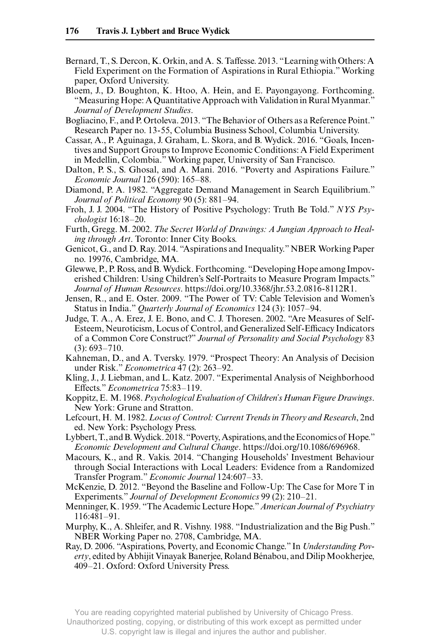- Bernard, T., S. Dercon, K. Orkin, and A. S. Taffesse. 2013. "Learning with Others: A Field Experiment on the Formation of Aspirations in Rural Ethiopia." Working paper, Oxford University.
- Bloem, J., D. Boughton, K. Htoo, A. Hein, and E. Payongayong. Forthcoming. "Measuring Hope: A Quantitative Approach with Validation in Rural Myanmar." *Journal of Development Studies*.
- Bogliacino, F., and P. Ortoleva. 2013. "The Behavior of Others as a Reference Point." Research Paper no. 13-55, Columbia Business School, Columbia University.
- Cassar, A., P. Aguinaga, J. Graham, L. Skora, and B. Wydick. 2016. "Goals, Incentives and Support Groups to Improve Economic Conditions: A Field Experiment in Medellin, Colombia." Working paper, University of San Francisco.
- Dalton, P. S., S. Ghosal, and A. Mani. 2016. "Poverty and Aspirations Failure." *Economic Journal* 126 (590): 165–88.
- Diamond, P. A. 1982. "Aggregate Demand Management in Search Equilibrium." *Journal of Political Economy* 90 (5): 881–94.
- Froh, J. J. 2004. "The History of Positive Psychology: Truth Be Told." *NYS Psychologist* 16:18–20.
- Furth, Gregg. M. 2002. *The Secret World of Drawings: A Jungian Approach to Healing through Art*. Toronto: Inner City Books.
- Genicot, G., and D. Ray. 2014. "Aspirations and Inequality." NBER Working Paper no. 19976, Cambridge, MA.
- Glewwe, P., P. Ross, and B. Wydick. Forthcoming. "Developing Hope among Impoverished Children: Using Children's Self- Portraits to Measure Program Impacts." *Journal of Human Resources*. https://doi.org/10.3368/jhr.53.2.0816- 8112R1.
- Jensen, R., and E. Oster. 2009. "The Power of TV: Cable Television and Women's Status in India." *Quarterly Journal of Economics* 124 (3): 1057–94.
- Judge, T. A., A. Erez, J. E. Bono, and C. J. Thoresen. 2002. "Are Measures of Self-Esteem, Neuroticism, Locus of Control, and Generalized Self- Efficacy Indicators of a Common Core Construct?" *Journal of Personality and Social Psychology* 83 (3): 693–710.
- Kahneman, D., and A. Tversky. 1979. "Prospect Theory: An Analysis of Decision under Risk." *Econometrica* 47 (2): 263–92.
- Kling, J., J. Liebman, and L. Katz. 2007. "Experimental Analysis of Neighborhood Effects." *Econometrica* 75:83–119.
- Koppitz, E. M. 1968. *Psychological Evaluation of Children's Human Figure Drawings*. New York: Grune and Stratton.
- Lefcourt, H. M. 1982. *Locus of Control: Current Trends in Theory and Research*, 2nd ed. New York: Psychology Press.
- Lybbert, T., and B. Wydick. 2018. "Poverty, Aspirations, and the Economics of Hope." *Economic Development and Cultural Change*. https://doi.org/10.1086/696968.
- Macours, K., and R. Vakis. 2014. "Changing Households' Investment Behaviour through Social Interactions with Local Leaders: Evidence from a Randomized Transfer Program." *Economic Journal* 124:607–33.
- McKenzie, D. 2012. "Beyond the Baseline and Follow- Up: The Case for More T in Experiments." *Journal of Development Economics* 99 (2): 210–21.
- Menninger, K. 1959. "The Academic Lecture Hope." *American Journal of Psychiatry* 116:481–91.
- Murphy, K., A. Shleifer, and R. Vishny. 1988. "Industrialization and the Big Push." NBER Working Paper no. 2708, Cambridge, MA.
- Ray, D. 2006. "Aspirations, Poverty, and Economic Change." In *Understanding Poverty*, edited by Abhijit Vinayak Banerjee, Roland Bénabou, and Dilip Mookherjee, 409–21. Oxford: Oxford University Press.